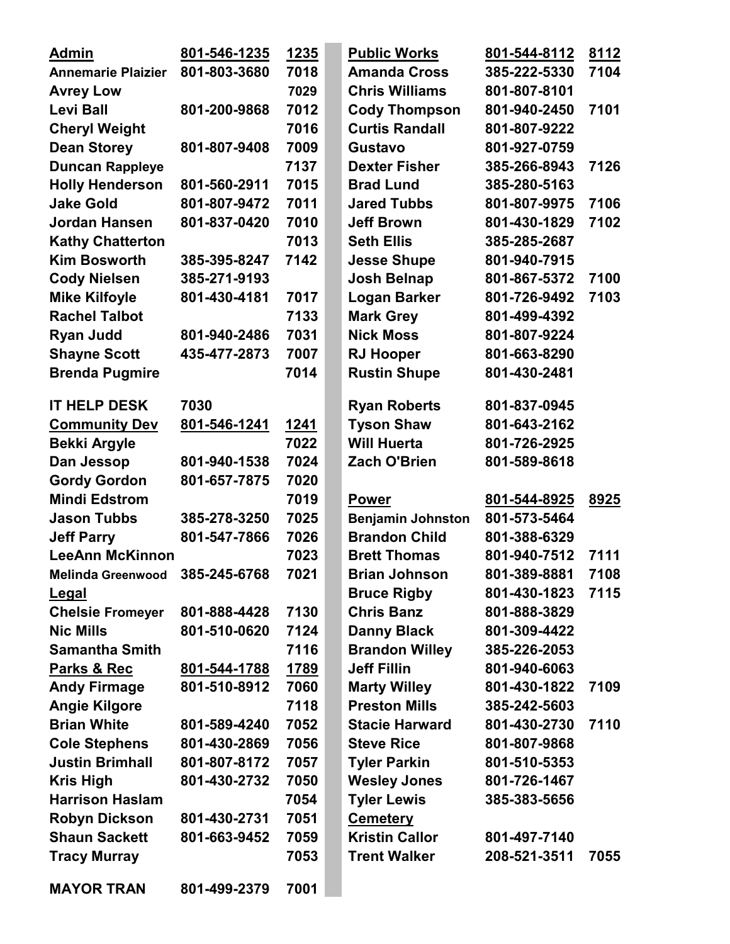| <b>Admin</b>                   | 801-546-1235 | 1235        | <b>Public Works</b>      | 801-544-8112 | 8112 |
|--------------------------------|--------------|-------------|--------------------------|--------------|------|
| <b>Annemarie Plaizier</b>      | 801-803-3680 | 7018        | <b>Amanda Cross</b>      | 385-222-5330 | 7104 |
| <b>Avrey Low</b>               |              | 7029        | <b>Chris Williams</b>    | 801-807-8101 |      |
| <b>Levi Ball</b>               | 801-200-9868 | 7012        | <b>Cody Thompson</b>     | 801-940-2450 | 7101 |
| <b>Cheryl Weight</b>           |              | 7016        | <b>Curtis Randall</b>    | 801-807-9222 |      |
| <b>Dean Storey</b>             | 801-807-9408 | 7009        | <b>Gustavo</b>           | 801-927-0759 |      |
| <b>Duncan Rappleye</b>         |              | 7137        | <b>Dexter Fisher</b>     | 385-266-8943 | 7126 |
| <b>Holly Henderson</b>         | 801-560-2911 | 7015        | <b>Brad Lund</b>         | 385-280-5163 |      |
| <b>Jake Gold</b>               | 801-807-9472 | 7011        | <b>Jared Tubbs</b>       | 801-807-9975 | 7106 |
| Jordan Hansen                  | 801-837-0420 | 7010        | <b>Jeff Brown</b>        | 801-430-1829 | 7102 |
| <b>Kathy Chatterton</b>        |              | 7013        | <b>Seth Ellis</b>        | 385-285-2687 |      |
| <b>Kim Bosworth</b>            | 385-395-8247 | 7142        | <b>Jesse Shupe</b>       | 801-940-7915 |      |
| <b>Cody Nielsen</b>            | 385-271-9193 |             | <b>Josh Belnap</b>       | 801-867-5372 | 7100 |
| <b>Mike Kilfoyle</b>           | 801-430-4181 | 7017        | <b>Logan Barker</b>      | 801-726-9492 | 7103 |
| <b>Rachel Talbot</b>           |              | 7133        | <b>Mark Grey</b>         | 801-499-4392 |      |
| <b>Ryan Judd</b>               | 801-940-2486 | 7031        | <b>Nick Moss</b>         | 801-807-9224 |      |
| <b>Shayne Scott</b>            | 435-477-2873 | 7007        | <b>RJ Hooper</b>         | 801-663-8290 |      |
| <b>Brenda Pugmire</b>          |              | 7014        | <b>Rustin Shupe</b>      | 801-430-2481 |      |
| <b>IT HELP DESK</b>            | 7030         |             | <b>Ryan Roberts</b>      | 801-837-0945 |      |
| <b>Community Dev</b>           | 801-546-1241 | <u>1241</u> | <b>Tyson Shaw</b>        | 801-643-2162 |      |
| <b>Bekki Argyle</b>            |              | 7022        | <b>Will Huerta</b>       | 801-726-2925 |      |
| Dan Jessop                     | 801-940-1538 | 7024        | Zach O'Brien             | 801-589-8618 |      |
| <b>Gordy Gordon</b>            | 801-657-7875 | 7020        |                          |              |      |
| <b>Mindi Edstrom</b>           |              | 7019        | <b>Power</b>             | 801-544-8925 | 8925 |
| <b>Jason Tubbs</b>             | 385-278-3250 | 7025        | <b>Benjamin Johnston</b> | 801-573-5464 |      |
| <b>Jeff Parry</b>              | 801-547-7866 | 7026        | <b>Brandon Child</b>     | 801-388-6329 |      |
| <b>LeeAnn McKinnon</b>         |              | 7023        | <b>Brett Thomas</b>      | 801-940-7512 | 7111 |
| Melinda Greenwood 385-245-6768 |              | 7021        | <b>Brian Johnson</b>     | 801-389-8881 | 7108 |
| Legal                          |              |             | <b>Bruce Rigby</b>       | 801-430-1823 | 7115 |
| <b>Chelsie Fromeyer</b>        | 801-888-4428 | 7130        | <b>Chris Banz</b>        | 801-888-3829 |      |
| <b>Nic Mills</b>               | 801-510-0620 | 7124        | <b>Danny Black</b>       | 801-309-4422 |      |
| <b>Samantha Smith</b>          |              | 7116        | <b>Brandon Willey</b>    | 385-226-2053 |      |
| Parks & Rec                    | 801-544-1788 | 1789        | <b>Jeff Fillin</b>       | 801-940-6063 |      |
| <b>Andy Firmage</b>            | 801-510-8912 | 7060        | <b>Marty Willey</b>      | 801-430-1822 | 7109 |
| <b>Angie Kilgore</b>           |              | 7118        | <b>Preston Mills</b>     | 385-242-5603 |      |
| <b>Brian White</b>             | 801-589-4240 | 7052        | <b>Stacie Harward</b>    | 801-430-2730 | 7110 |
| <b>Cole Stephens</b>           | 801-430-2869 | 7056        | <b>Steve Rice</b>        | 801-807-9868 |      |
| <b>Justin Brimhall</b>         | 801-807-8172 | 7057        | <b>Tyler Parkin</b>      | 801-510-5353 |      |
| <b>Kris High</b>               | 801-430-2732 | 7050        | <b>Wesley Jones</b>      | 801-726-1467 |      |
| <b>Harrison Haslam</b>         |              | 7054        | <b>Tyler Lewis</b>       | 385-383-5656 |      |
| <b>Robyn Dickson</b>           | 801-430-2731 | 7051        | <b>Cemetery</b>          |              |      |
| <b>Shaun Sackett</b>           | 801-663-9452 | 7059        | <b>Kristin Callor</b>    | 801-497-7140 |      |
| <b>Tracy Murray</b>            |              | 7053        | <b>Trent Walker</b>      | 208-521-3511 | 7055 |
| <b>MAYOR TRAN</b>              | 801-499-2379 | 7001        |                          |              |      |